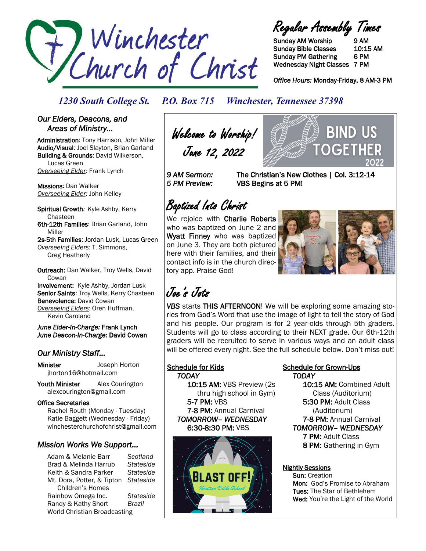

Regular Assembly Times

Sunday AM Worship 9 AM Sunday Bible Classes 10:15 AM Sunday PM Gathering 6 PM Wednesday Night Classes 7 PM

*Office Hours:* Monday-Friday, 8 AM-3 PM

OGF

**BIND US** 

### *1230 South College St. P.O. Box 715 Winchester, Tennessee 37398*

#### *Our Elders, Deacons, and Areas of Ministry…*

Administration: Tony Harrison, John Miller Audio/Visual: Joel Slayton, Brian Garland Building & Grounds: David Wilkerson, Lucas Green *Overseeing Elder:* Frank Lynch

Missions: Dan Walker *Overseeing Elder:* John Kelley

Spiritual Growth*:* Kyle Ashby, Kerry Chasteen 6th-12th Families: Brian Garland, John Miller

2s-5th Families: Jordan Lusk, Lucas Green *Overseeing Elders:* T. Simmons, Greg Heatherly

Outreach: Dan Walker, Troy Wells, David **Cowan** Involvement: Kyle Ashby, Jordan Lusk Senior Saints: Troy Wells, Kerry Chasteen

Benevolence: David Cowan *Overseeing Elders:* Oren Huffman, Kevin Caroland

*June Elder-In-Charge:* Frank Lynch *June Deacon-In-Charge:* David Cowan

## *Our Ministry Staff…*

Minister Joseph Horton jhorton16@hotmail.com

Youth Minister Alex Courington alexcourington@gmail.com

#### Office Secretaries

 Rachel Routh (Monday - Tuesday) Katie Baggett (Wednesday - Friday) winchesterchurchofchrist@gmail.com

## *Mission Works We Support…*

Adam & Melanie Barr *Scotland* Brad & Melinda Harrub *Stateside* Keith & Sandra Parker *Stateside* Mt. Dora, Potter, & Tipton *Stateside* Children's Homes Rainbow Omega Inc. *Stateside* Randy & Kathy Short *Brazil* World Christian Broadcasting

Welcome to Worship! June 12, 2022

*9 AM Sermon:* The Christian's New Clothes | Col. 3:12-14 *5 PM Preview:* VBS Begins at 5 PM!

# Baptized Into Christ

We rejoice with Charlie Roberts who was baptized on June 2 and Wyatt Finney who was baptized on June 3. They are both pictured here with their families, and their contact info is in the church directory app. Praise God!



# Joe's Jots

*VBS* starts THIS AFTERNOON! We will be exploring some amazing stories from God's Word that use the image of light to tell the story of God and his people. Our program is for 2 year-olds through 5th graders. Students will go to class according to their NEXT grade. Our 6th-12th graders will be recruited to serve in various ways and an adult class will be offered every night. See the full schedule below. Don't miss out!

#### Schedule for Kids  *TODAY*

 10:15 AM: VBS Preview (2s thru high school in Gym) 5-7 PM: VBS 7-8 PM: Annual Carnival *TOMORROW– WEDNESDAY* 6:30-8:30 PM: VBS



#### Schedule for Grown-Ups  *TODAY*

 10:15 AM: Combined Adult Class (Auditorium) 5:30 PM: Adult Class (Auditorium) 7-8 PM: Annual Carnival *TOMORROW– WEDNESDAY*  7 PM: Adult Class 8 PM: Gathering in Gym

#### Nightly Sessions

 Sun: Creation Mon: God's Promise to Abraham Tues: The Star of Bethlehem Wed: You're the Light of the World